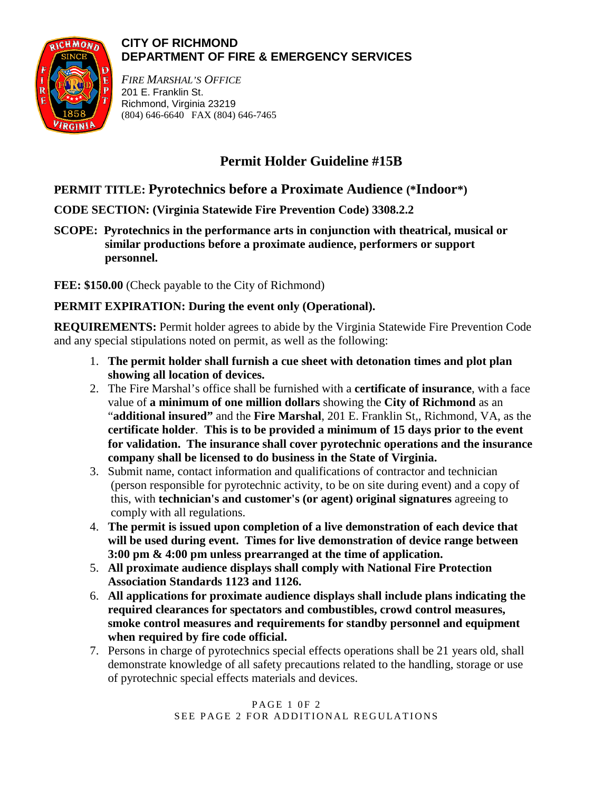

### **CITY OF RICHMOND DEPARTMENT OF FIRE & EMERGENCY SERVICES**

*FIRE MARSHAL'S OFFICE* 201 E. Franklin St. Richmond, Virginia 23219 (804) 646-6640 FAX (804) 646-7465

# **Permit Holder Guideline #15B**

## **PERMIT TITLE: Pyrotechnics before a Proximate Audience (\*Indoor\*)**

**CODE SECTION: (Virginia Statewide Fire Prevention Code) 3308.2.2**

**SCOPE: Pyrotechnics in the performance arts in conjunction with theatrical, musical or similar productions before a proximate audience, performers or support personnel.**

**FEE: \$150.00** (Check payable to the City of Richmond)

### **PERMIT EXPIRATION: During the event only (Operational).**

**REQUIREMENTS:** Permit holder agrees to abide by the Virginia Statewide Fire Prevention Code and any special stipulations noted on permit, as well as the following:

- 1. **The permit holder shall furnish a cue sheet with detonation times and plot plan showing all location of devices.**
- 2. The Fire Marshal's office shall be furnished with a **certificate of insurance**, with a face value of **a minimum of one million dollars** showing the **City of Richmond** as an "**additional insured"** and the **Fire Marshal**, 201 E. Franklin St,, Richmond, VA, as the **certificate holder**. **This is to be provided a minimum of 15 days prior to the event for validation. The insurance shall cover pyrotechnic operations and the insurance company shall be licensed to do business in the State of Virginia.**
- 3. Submit name, contact information and qualifications of contractor and technician (person responsible for pyrotechnic activity, to be on site during event) and a copy of this, with **technician's and customer's (or agent) original signatures** agreeing to comply with all regulations.
- 4. **The permit is issued upon completion of a live demonstration of each device that will be used during event. Times for live demonstration of device range between 3:00 pm & 4:00 pm unless prearranged at the time of application.**
- 5. **All proximate audience displays shall comply with National Fire Protection Association Standards 1123 and 1126.**
- 6. **All applications for proximate audience displays shall include plans indicating the required clearances for spectators and combustibles, crowd control measures, smoke control measures and requirements for standby personnel and equipment when required by fire code official.**
- 7. Persons in charge of pyrotechnics special effects operations shall be 21 years old, shall demonstrate knowledge of all safety precautions related to the handling, storage or use of pyrotechnic special effects materials and devices.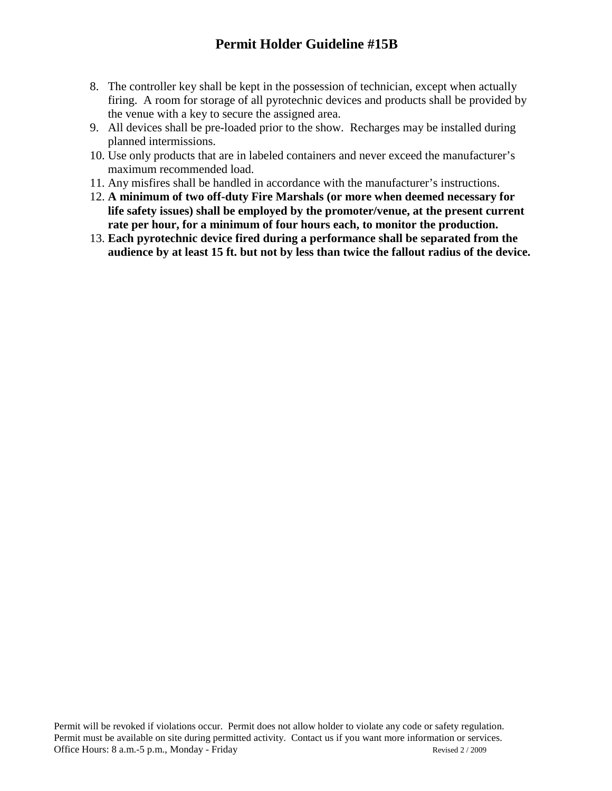- 8. The controller key shall be kept in the possession of technician, except when actually firing. A room for storage of all pyrotechnic devices and products shall be provided by the venue with a key to secure the assigned area.
- 9. All devices shall be pre-loaded prior to the show. Recharges may be installed during planned intermissions.
- 10. Use only products that are in labeled containers and never exceed the manufacturer's maximum recommended load.
- 11. Any misfires shall be handled in accordance with the manufacturer's instructions.
- 12. **A minimum of two off-duty Fire Marshals (or more when deemed necessary for life safety issues) shall be employed by the promoter/venue, at the present current rate per hour, for a minimum of four hours each, to monitor the production.**
- 13. **Each pyrotechnic device fired during a performance shall be separated from the audience by at least 15 ft. but not by less than twice the fallout radius of the device.**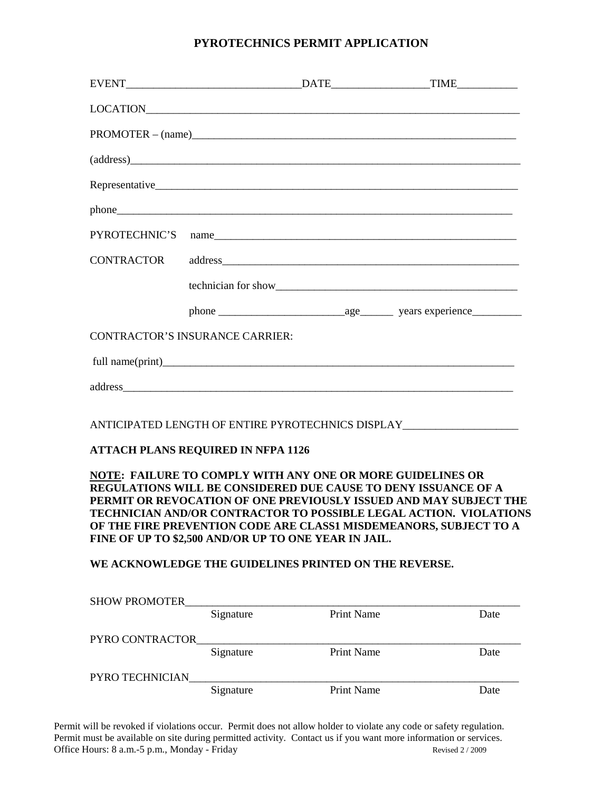#### **PYROTECHNICS PERMIT APPLICATION**

|                                                                                                                                                                                                                                                                                                                                                                                                            |           |                   | $PROMOTER - (name)$                                                              |
|------------------------------------------------------------------------------------------------------------------------------------------------------------------------------------------------------------------------------------------------------------------------------------------------------------------------------------------------------------------------------------------------------------|-----------|-------------------|----------------------------------------------------------------------------------|
|                                                                                                                                                                                                                                                                                                                                                                                                            |           |                   | (address)                                                                        |
|                                                                                                                                                                                                                                                                                                                                                                                                            |           |                   |                                                                                  |
|                                                                                                                                                                                                                                                                                                                                                                                                            |           |                   |                                                                                  |
| PYROTECHNIC'S                                                                                                                                                                                                                                                                                                                                                                                              |           |                   |                                                                                  |
| <b>CONTRACTOR</b>                                                                                                                                                                                                                                                                                                                                                                                          |           |                   |                                                                                  |
|                                                                                                                                                                                                                                                                                                                                                                                                            |           |                   |                                                                                  |
|                                                                                                                                                                                                                                                                                                                                                                                                            |           |                   |                                                                                  |
| <b>CONTRACTOR'S INSURANCE CARRIER:</b>                                                                                                                                                                                                                                                                                                                                                                     |           |                   |                                                                                  |
|                                                                                                                                                                                                                                                                                                                                                                                                            |           |                   |                                                                                  |
|                                                                                                                                                                                                                                                                                                                                                                                                            |           |                   |                                                                                  |
|                                                                                                                                                                                                                                                                                                                                                                                                            |           |                   | ANTICIPATED LENGTH OF ENTIRE PYROTECHNICS DISPLAY_______________________________ |
| <b>ATTACH PLANS REQUIRED IN NFPA 1126</b>                                                                                                                                                                                                                                                                                                                                                                  |           |                   |                                                                                  |
| NOTE: FAILURE TO COMPLY WITH ANY ONE OR MORE GUIDELINES OR<br>REGULATIONS WILL BE CONSIDERED DUE CAUSE TO DENY ISSUANCE OF A<br>PERMIT OR REVOCATION OF ONE PREVIOUSLY ISSUED AND MAY SUBJECT THE<br><b>TECHNICIAN AND/OR CONTRACTOR TO POSSIBLE LEGAL ACTION. VIOLATIONS</b><br>OF THE FIRE PREVENTION CODE ARE CLASS1 MISDEMEANORS, SUBJECT TO A<br>FINE OF UP TO \$2,500 AND/OR UP TO ONE YEAR IN JAIL. |           |                   |                                                                                  |
| WE ACKNOWLEDGE THE GUIDELINES PRINTED ON THE REVERSE.                                                                                                                                                                                                                                                                                                                                                      |           |                   |                                                                                  |
| SHOW PROMOTER_                                                                                                                                                                                                                                                                                                                                                                                             | Signature | <b>Print Name</b> | Date                                                                             |
| PYRO CONTRACTOR                                                                                                                                                                                                                                                                                                                                                                                            | Signature | Print Name        | Date                                                                             |
| PYRO TECHNICIAN                                                                                                                                                                                                                                                                                                                                                                                            | Signature | Print Name        | Date                                                                             |
|                                                                                                                                                                                                                                                                                                                                                                                                            |           |                   |                                                                                  |

Permit will be revoked if violations occur. Permit does not allow holder to violate any code or safety regulation. Permit must be available on site during permitted activity. Contact us if you want more information or services. Office Hours: 8 a.m.-5 p.m., Monday - Friday Revised 2 / 2009